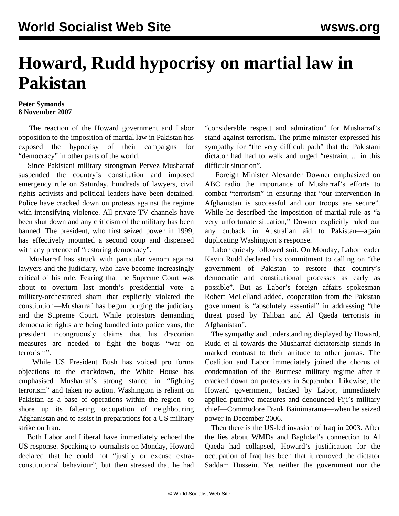## **Howard, Rudd hypocrisy on martial law in Pakistan**

## **Peter Symonds 8 November 2007**

 The reaction of the Howard government and Labor opposition to the imposition of martial law in Pakistan has exposed the hypocrisy of their campaigns for "democracy" in other parts of the world.

 Since Pakistani military strongman Pervez Musharraf suspended the country's constitution and imposed emergency rule on Saturday, hundreds of lawyers, civil rights activists and political leaders have been detained. Police have cracked down on protests against the regime with intensifying violence. All private TV channels have been shut down and any criticism of the military has been banned. The president, who first seized power in 1999, has effectively mounted a second coup and dispensed with any pretence of "restoring democracy".

 Musharraf has struck with particular venom against lawyers and the judiciary, who have become increasingly critical of his rule. Fearing that the Supreme Court was about to overturn last month's presidential vote—a military-orchestrated sham that explicitly violated the constitution—Musharraf has begun purging the judiciary and the Supreme Court. While protestors demanding democratic rights are being bundled into police vans, the president incongruously claims that his draconian measures are needed to fight the bogus "war on terrorism".

 While US President Bush has voiced pro forma objections to the crackdown, the White House has emphasised Musharraf's strong stance in "fighting terrorism" and taken no action. Washington is reliant on Pakistan as a base of operations within the region—to shore up its faltering occupation of neighbouring Afghanistan and to assist in preparations for a US military strike on Iran.

 Both Labor and Liberal have immediately echoed the US response. Speaking to journalists on Monday, Howard declared that he could not "justify or excuse extraconstitutional behaviour", but then stressed that he had "considerable respect and admiration" for Musharraf's stand against terrorism. The prime minister expressed his sympathy for "the very difficult path" that the Pakistani dictator had had to walk and urged "restraint ... in this difficult situation".

 Foreign Minister Alexander Downer emphasized on ABC radio the importance of Musharraf's efforts to combat "terrorism" in ensuring that "our intervention in Afghanistan is successful and our troops are secure". While he described the imposition of martial rule as "a very unfortunate situation," Downer explicitly ruled out any cutback in Australian aid to Pakistan—again duplicating Washington's response.

 Labor quickly followed suit. On Monday, Labor leader Kevin Rudd declared his commitment to calling on "the government of Pakistan to restore that country's democratic and constitutional processes as early as possible". But as Labor's foreign affairs spokesman Robert McLelland added, cooperation from the Pakistan government is "absolutely essential" in addressing "the threat posed by Taliban and Al Qaeda terrorists in Afghanistan".

 The sympathy and understanding displayed by Howard, Rudd et al towards the Musharraf dictatorship stands in marked contrast to their attitude to other juntas. The Coalition and Labor immediately joined the chorus of condemnation of the Burmese military regime after it cracked down on protestors in September. Likewise, the Howard government, backed by Labor, immediately applied punitive measures and denounced Fiji's military chief—Commodore Frank Bainimarama—when he seized power in December 2006.

 Then there is the US-led invasion of Iraq in 2003. After the lies about WMDs and Baghdad's connection to Al Qaeda had collapsed, Howard's justification for the occupation of Iraq has been that it removed the dictator Saddam Hussein. Yet neither the government nor the